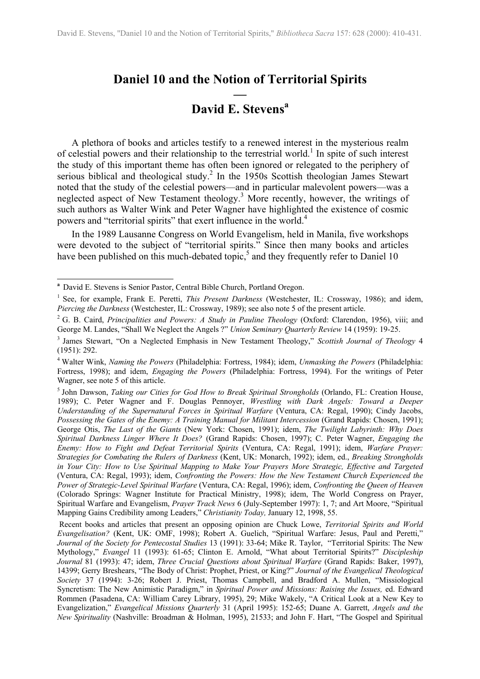# <span id="page-0-5"></span>**Daniel 10 and the Notion of Territorial Spirits**

# **— David E. Stevens[a](#page-0-0)**

A plethora of books and articles testify to a renewed interest in the mysterious realm of celestial powers and their relationship to the terrestrial world.<sup>[1](#page-0-1)</sup> In spite of such interest the study of this important theme has often been ignored or relegated to the periphery of serious biblical and theological study.<sup>2</sup> In the 1950s Scottish theologian James Stewart noted that the study of the celestial powers—and in particular malevolent powers—was a neglected aspect of New Testament theology.<sup>3</sup> More recently, however, the writings of such authors as Walter Wink and Peter Wagner have highlighted the existence of cosmic powers and "territorial spirits" that exert influence in the world.[4](#page-0-4)

In the 1989 Lausanne Congress on World Evangelism, held in Manila, five workshops were devoted to the subject of "territorial spirits." Since then many books and articles have been published on this much-debated topic,<sup>5</sup> and they frequently refer to Daniel 10

 $\overline{a}$ 

<span id="page-0-0"></span><sup>&</sup>lt;sup>a</sup> David E. Stevens is Senior Pastor, Central Bible Church, Portland Oregon.

<span id="page-0-1"></span><sup>1</sup> See, for example, Frank E. Peretti, *This Present Darkness* (Westchester, IL: Crossway, 1986); and idem, *Piercing the Darkness* (Westchester, IL: Crossway, 1989); see also note 5 of the present article.

<span id="page-0-2"></span><sup>2</sup> G. B. Caird, *Principalities and Powers: A Study in Pauline Theology* (Oxford: Clarendon, 1956), viii; and George M. Landes, "Shall We Neglect the Angels ?" *Union Seminary Quarterly Review* 14 (1959): 19-25.

<span id="page-0-3"></span><sup>3</sup> James Stewart, "On a Neglected Emphasis in New Testament Theology," *Scottish Journal of Theology* 4 (1951): 292.

<span id="page-0-4"></span><sup>4</sup> Walter Wink, *Naming the Powers* (Philadelphia: Fortress, 1984); idem, *Unmasking the Powers* (Philadelphia: Fortress, 1998); and idem, *Engaging the Powers* (Philadelphia: Fortress, 1994). For the writings of Peter Wagner, see note 5 of this article.

<sup>5</sup> John Dawson, *Taking our Cities for God How to Break Spiritual Strongholds* (Orlando, FL: Creation House, 1989); C. Peter Wagner and F. Douglas Pennoyer, *Wrestling with Dark Angels: Toward a Deeper Understanding of the Supernatural Forces in Spiritual Warfare* (Ventura, CA: Regal, 1990); Cindy Jacobs, *Possessing the Gates of the Enemy: A Training Manual for Militant Intercession* (Grand Rapids: Chosen, 1991); George Otis, *The Last of the Giants* (New York: Chosen, 1991); idem, *The Twilight Labyrinth: Why Does Spiritual Darkness Linger Where It Does?* (Grand Rapids: Chosen, 1997); C. Peter Wagner, *Engaging the Enemy: How to Fight and Defeat Territorial Spirits* (Ventura, CA: Regal, 1991); idem, *Warfare Prayer: Strategies for Combating the Rulers of Darkness* (Kent, UK: Monarch, 1992); idem, ed., *Breaking Strongholds in Your City: How to Use Spiritual Mapping to Make Your Prayers More Strategic, Effective and Targeted* (Ventura, CA: Regal, 1993); idem, *Confronting the Powers: How the New Testament Church Experienced the Power of Strategic-Level Spiritual Warfare* (Ventura, CA: Regal, 1996); idem, *Confronting the Queen of Heaven* (Colorado Springs: Wagner Institute for Practical Ministry, 1998); idem, The World Congress on Prayer, Spiritual Warfare and Evangelism, *Prayer Track News* 6 (July-September 1997): 1, 7; and Art Moore, "Spiritual Mapping Gains Credibility among Leaders," *Christianity Today,* January 12, 1998, 55.

Recent books and articles that present an opposing opinion are Chuck Lowe, *Territorial Spirits and World Evangelisation?* (Kent, UK: OMF, 1998); Robert A. Guelich, "Spiritual Warfare: Jesus, Paul and Peretti," *Journal of the Society for Pentecostal Studies* 13 (1991): 33-64; Mike R. Taylor, "Territorial Spirits: The New Mythology," *Evangel* 11 (1993): 61-65; Clinton E. Arnold, "What about Territorial Spirits?" *Discipleship Journal* 81 (1993): 47; idem, *Three Crucial Questions about Spiritual Warfare* (Grand Rapids: Baker, 1997), 14399; Gerry Breshears, "The Body of Christ: Prophet, Priest, or King?" *Journal of the Evangelical Theological Society* 37 (1994): 3-26; Robert J. Priest, Thomas Campbell, and Bradford A. Mullen, "Missiological Syncretism: The New Animistic Paradigm," in *Spiritual Power and Missions: Raising the Issues,* ed. Edward Rommen (Pasadena, CA: William Carey Library, 1995), 29; Mike Wakely, "A Critical Look at a New Key to Evangelization," *Evangelical Missions Quarterly* 31 (April 1995): 152-65; Duane A. Garrett, *Angels and the New Spirituality* (Nashville: Broadman & Holman, 1995), 21533; and John F. Hart, "The Gospel and Spiritual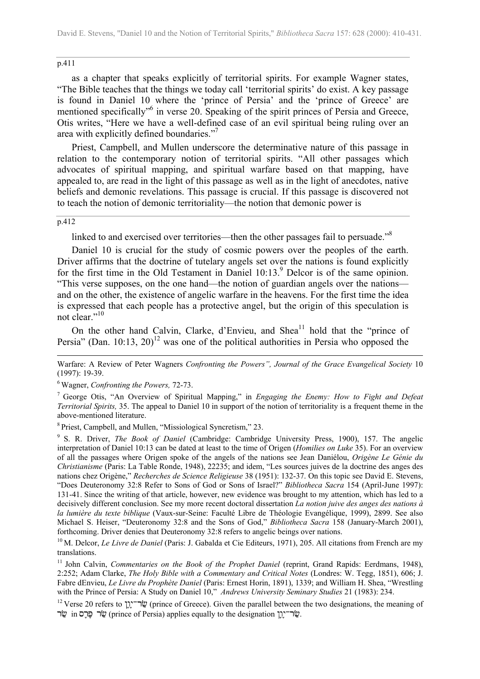#### p.411

as a chapter that speaks explicitly of territorial spirits. For example Wagner states, "The Bible teaches that the things we today call 'territorial spirits' do exist. A key passage is found in Daniel 10 where the 'prince of Persia' and the 'prince of Greece' are mentioned specifically<sup>36</sup> in verse 20. Speaking of the spirit princes of Persia and Greece, Otis writes, "Here we have a well-defined case of an evil spiritual being ruling over an area with explicitly defined boundaries.["7](#page-1-1)

Priest, Campbell, and Mullen underscore the determinative nature of this passage in relation to the contemporary notion of territorial spirits. "All other passages which advocates of spiritual mapping, and spiritual warfare based on that mapping, have appealed to, are read in the light of this passage as well as in the light of anecdotes, native beliefs and demonic revelations. This passage is crucial. If this passage is discovered not to teach the notion of demonic territoriality—the notion that demonic power is

#### p.412

 $\overline{a}$ 

linked to and exercised over territories—then the other passages fail to persuade.["8](#page-1-2)

Daniel 10 is crucial for the study of cosmic powers over the peoples of the earth. Driver affirms that the doctrine of tutelary angels set over the nations is found explicitly for the first time in the Old Testament in Daniel 10:13.<sup>[9](#page-1-3)</sup> Delcor is of the same opinion. "This verse supposes, on the one hand—the notion of guardian angels over the nations and on the other, the existence of angelic warfare in the heavens. For the first time the idea is expressed that each people has a protective angel, but the origin of this speculation is not clear.<sup>"1[0](#page-1-4)</sup>

On the other hand Calvin, Clarke, d'Envieu, and Shea<sup>11</sup> hold that the "prince of Persia" (Dan. 10:13, 20)<sup>12</sup> was one of the political authorities in Persia who opposed the

Warfare: A Review of Peter Wagners *Confronting the Powers", Journal of the Grace Evangelical Society* 10 (1997): 19-39.

<span id="page-1-0"></span>6 Wagner, *Confronting the Powers,* 72-73.

<span id="page-1-1"></span>7 George Otis, "An Overview of Spiritual Mapping," in *Engaging the Enemy: How to Fight and Defeat Territorial Spirits,* 35. The appeal to Daniel 10 in support of the notion of territoriality is a frequent theme in the above-mentioned literature.

<span id="page-1-2"></span>8 Priest, Campbell, and Mullen, "Missiological Syncretism," 23.

<span id="page-1-3"></span>9 S. R. Driver, *The Book of Daniel* (Cambridge: Cambridge University Press, 1900), 157. The angelic interpretation of Daniel 10:13 can be dated at least to the time of Origen (*Homilies on Luke* 35). For an overview of all the passages where Origen spoke of the angels of the nations see Jean Daniélou, *Origène Le Génie du Christianisme* (Paris: La Table Ronde, 1948), 22235; and idem, "Les sources juives de la doctrine des anges des nations chez Origène," *Recherches de Science Religieuse* 38 (1951): 132-37. On this topic see David E. Stevens, "Does Deuteronomy 32:8 Refer to Sons of God or Sons of Israel?" *Bibliotheca Sacra* 154 (April-June 1997): 131-41. Since the writing of that article, however, new evidence was brought to my attention, which has led to a decisively different conclusion. See my more recent doctoral dissertation *La notion juive des anges des nations à la lumière du texte biblique* (Vaux-sur-Seine: Faculté Libre de Théologie Evangélique, 1999), 2899. See also Michael S. Heiser, "Deuteronomy 32:8 and the Sons of God," *Bibliotheca Sacra* 158 (January-March 2001), forthcoming. Driver denies that Deuteronomy 32:8 refers to angelic beings over nations.

<span id="page-1-4"></span><sup>10</sup> M. Delcor, *Le Livre de Daniel* (Paris: J. Gabalda et Cie Editeurs, 1971), 205. All citations from French are my translations.

<span id="page-1-5"></span><sup>11</sup> John Calvin, *Commentaries on the Book of the Prophet Daniel* (reprint, Grand Rapids: Eerdmans, 1948), 2:252; Adam Clarke, *The Holy Bible with a Commentary and Critical Notes* (Londres: W. Tegg, 1851), 606; J. Fabre dEnvieu, *Le Livre du Prophète Daniel* (Paris: Ernest Horin, 1891), 1339; and William H. Shea, "Wrestling with the Prince of Persia: A Study on Daniel 10," *Andrews University Seminary Studies* 21 (1983): 234.

<span id="page-1-6"></span><sup>12</sup> Verse 20 refers to  $\pi$  (prince of Greece). Given the parallel between the two designations, the meaning of שׂר פּרס $r$  in שׂר (prince of Persia) applies equally to the designation  $\ddot{w}$ .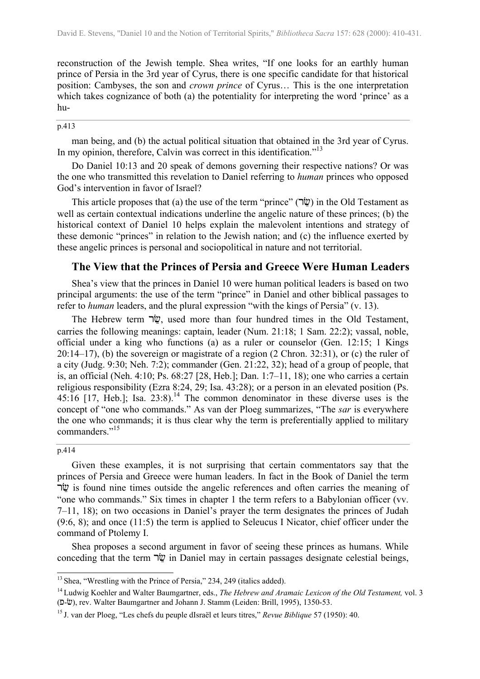reconstruction of the Jewish temple. Shea writes, "If one looks for an earthly human prince of Persia in the 3rd year of Cyrus, there is one specific candidate for that historical position: Cambyses, the son and *crown prince* of Cyrus… This is the one interpretation which takes cognizance of both (a) the potentiality for interpreting the word 'prince' as a hu-

### p.413

man being, and (b) the actual political situation that obtained in the 3rd year of Cyrus. In my opinion, therefore, Calvin was correct in this identification."<sup>[13](#page-2-0)</sup>

Do Daniel 10:13 and 20 speak of demons governing their respective nations? Or was the one who transmitted this revelation to Daniel referring to *human* princes who opposed God's intervention in favor of Israel?

This article proposes that (a) the use of the term "prince" ( $\vec{w}$ ) in the Old Testament as well as certain contextual indications underline the angelic nature of these princes; (b) the historical context of Daniel 10 helps explain the malevolent intentions and strategy of these demonic "princes" in relation to the Jewish nation; and (c) the influence exerted by these angelic princes is personal and sociopolitical in nature and not territorial.

### **The View that the Princes of Persia and Greece Were Human Leaders**

Shea's view that the princes in Daniel 10 were human political leaders is based on two principal arguments: the use of the term "prince" in Daniel and other biblical passages to refer to *human* leaders, and the plural expression "with the kings of Persia" (v. 13).

The Hebrew term  $\psi$ , used more than four hundred times in the Old Testament, carries the following meanings: captain, leader (Num. 21:18; 1 Sam. 22:2); vassal, noble, official under a king who functions (a) as a ruler or counselor (Gen. 12:15; 1 Kings 20:14–17), (b) the sovereign or magistrate of a region (2 Chron. 32:31), or (c) the ruler of a city (Judg. 9:30; Neh. 7:2); commander (Gen. 21:22, 32); head of a group of people, that is, an official (Neh. 4:10; Ps. 68:27 [28, Heb.]; Dan. 1:7–11, 18); one who carries a certain religious responsibility (Ezra 8:24, 29; Isa. 43:28); or a person in an elevated position (Ps. 45:16 [17, Heb.]; Isa.  $23:8$ .<sup>14</sup> The common denominator in these diverse uses is the concept of "one who commands." As van der Ploeg summarizes, "The *sar* is everywhere the one who commands; it is thus clear why the term is preferentially applied to military commanders."<sup>1[5](#page-2-2)</sup>

#### p.414

 $\overline{a}$ 

Given these examples, it is not surprising that certain commentators say that the princes of Persia and Greece were human leaders. In fact in the Book of Daniel the term יֹ is found nine times outside the angelic references and often carries the meaning of "one who commands." Six times in chapter 1 the term refers to a Babylonian officer (vv. 7–11, 18); on two occasions in Daniel's prayer the term designates the princes of Judah (9:6, 8); and once (11:5) the term is applied to Seleucus I Nicator, chief officer under the command of Ptolemy I.

Shea proposes a second argument in favor of seeing these princes as humans. While conceding that the term  $\nabla \Psi$  in Daniel may in certain passages designate celestial beings,

<span id="page-2-0"></span><sup>&</sup>lt;sup>13</sup> Shea, "Wrestling with the Prince of Persia," 234, 249 (italics added).

<span id="page-2-1"></span><sup>14</sup> Ludwig Koehler and Walter Baumgartner, eds., *The Hebrew and Aramaic Lexicon of the Old Testament,* vol. 3 (p-c), rev. Walter Baumgartner and Johann J. Stamm (Leiden: Brill, 1995), 1350-53.

<span id="page-2-2"></span><sup>15</sup> J. van der Ploeg, "Les chefs du peuple dIsraël et leurs titres," *Revue Biblique* 57 (1950): 40.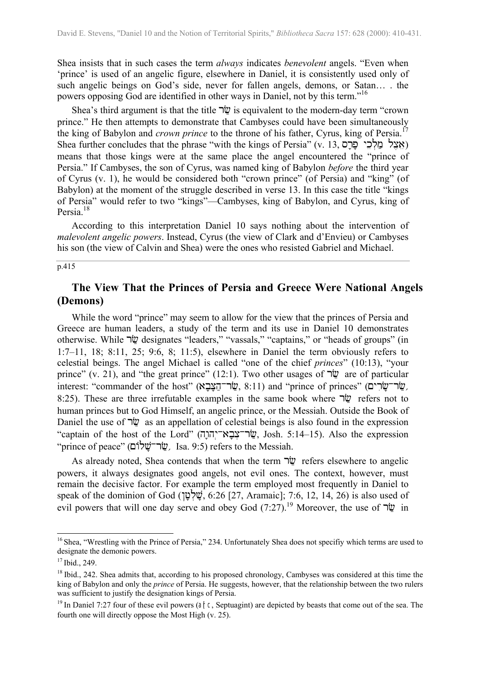Shea insists that in such cases the term *always* indicates *benevolent* angels. "Even when 'prince' is used of an angelic figure, elsewhere in Daniel, it is consistently used only of such angelic beings on God's side, never for fallen angels, demons, or Satan… . the powers opposing God are identified in other ways in Daniel, not by this term."1[6](#page-3-0)

Shea's third argument is that the title  $\nabla \ddot{\mathbf{w}}$  is equivalent to the modern-day term "crown" prince." He then attempts to demonstrate that Cambyses could have been simultaneously the king of Babylon and *crown prince* to the throne of his father, Cyrus, king of Persia.<sup>1[7](#page-3-1)</sup> Shea further concludes that the phrase "with the kings of Persia" (v. 13, אצל מלכי פרס) means that those kings were at the same place the angel encountered the "prince of Persia." If Cambyses, the son of Cyrus, was named king of Babylon *before* the third year of Cyrus (v. 1), he would be considered both "crown prince" (of Persia) and "king" (of Babylon) at the moment of the struggle described in verse 13. In this case the title "kings of Persia" would refer to two "kings"—Cambyses, king of Babylon, and Cyrus, king of Persia.<sup>[18](#page-3-2)</sup>

According to this interpretation Daniel 10 says nothing about the intervention of *malevolent angelic powers*. Instead, Cyrus (the view of Clark and d'Envieu) or Cambyses his son (the view of Calvin and Shea) were the ones who resisted Gabriel and Michael.

### $\overline{p.415}$

## **The View That the Princes of Persia and Greece Were National Angels (Demons)**

While the word "prince" may seem to allow for the view that the princes of Persia and Greece are human leaders, a study of the term and its use in Daniel 10 demonstrates otherwise. While  $\nabla \ddot{\mathbf{w}}$  designates "leaders," "vassals," "captains," or "heads of groups" (in 1:7–11, 18; 8:11, 25; 9:6, 8; 11:5), elsewhere in Daniel the term obviously refers to celestial beings. The angel Michael is called "one of the chief *princes*" (10:13), "your prince" (v. 21), and "the great prince" (12:1). Two other usages of  $\nabla \psi$  are of particular interest: "commander of the host" (שׂר־הצבא, 8:11) and "prince of princes" (שׂר־שׂרִים, 8:25). These are three irrefutable examples in the same book where  $\nabla \psi$  refers not to human princes but to God Himself, an angelic prince, or the Messiah. Outside the Book of Daniel the use of  $\psi$  as an appellation of celestial beings is also found in the expression "captain of the host of the Lord" (שְׂר־צְבָא־יְהוֹרָה Josh. 5:14–15). Also the expression "prince of peace" (שׂר־שׁלוֹם), Isa. 9:5) refers to the Messiah.

As already noted, Shea contends that when the term  $\vec{w}$  refers elsewhere to angelic powers, it always designates good angels, not evil ones. The context, however, must remain the decisive factor. For example the term employed most frequently in Daniel to speak of the dominion of God ( $\psi$ ָשָׁלְ $\psi$ , 6:26 [27, Aramaic]; 7:6, 12, 14, 26) is also used of evil powers that will one day serve and obey God  $(7:27)$ .<sup>19</sup> Moreover, the use of  $\neg \ddot{\mathbf{w}}$  in

 $\overline{\phantom{a}}$ 

<span id="page-3-0"></span><sup>&</sup>lt;sup>16</sup> Shea, "Wrestling with the Prince of Persia," 234. Unfortunately Shea does not specifiy which terms are used to designate the demonic powers.

<span id="page-3-1"></span> $17$  Ibid., 249.

<span id="page-3-2"></span><sup>&</sup>lt;sup>18</sup> Ibid., 242. Shea admits that, according to his proposed chronology, Cambyses was considered at this time the king of Babylon and only the *prince* of Persia. He suggests, however, that the relationship between the two rulers was sufficient to justify the designation kings of Persia.

<span id="page-3-3"></span> $19$  In Daniel 7:27 four of these evil powers (arc, Septuagint) are depicted by beasts that come out of the sea. The fourth one will directly oppose the Most High (v. 25).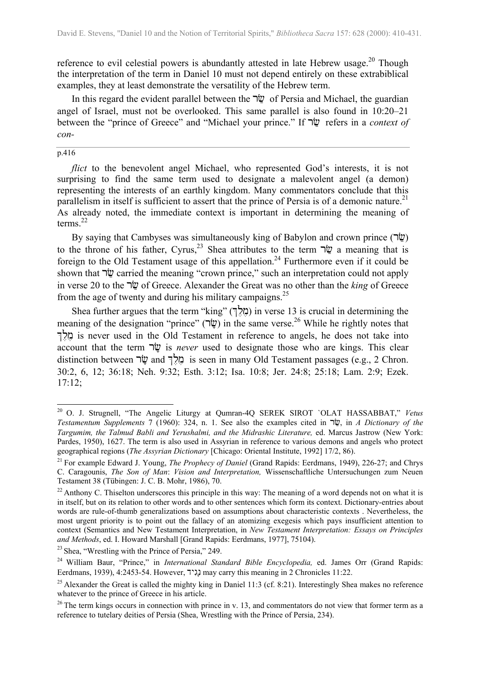reference to evil celestial powers is abundantly attested in late Hebrew usage.<sup>20</sup> Though the interpretation of the term in Daniel 10 must not depend entirely on these extrabiblical examples, they at least demonstrate the versatility of the Hebrew term.

In this regard the evident parallel between the  $\psi$  of Persia and Michael, the guardian angel of Israel, must not be overlooked. This same parallel is also found in 10:20–21 between the "prince of Greece" and "Michael your prince." If  $\psi$  refers in a *context of con-*

#### p.416

 $\overline{\phantom{a}}$ 

*flict* to the benevolent angel Michael, who represented God's interests, it is not surprising to find the same term used to designate a malevolent angel (a demon) representing the interests of an earthly kingdom. Many commentators conclude that this parallelism in itself is sufficient to assert that the prince of Persia is of a demonic nature.<sup>2[1](#page-4-1)</sup> As already noted, the immediate context is important in determining the meaning of terms. $^{22}$  $^{22}$  $^{22}$ 

By saying that Cambyses was simultaneously king of Babylon and crown prince (שׂר) to the throne of his father, Cyrus,<sup>23</sup> Shea attributes to the term  $\nabla \Psi$  a meaning that is foreign to the Old Testament usage of this appellation.<sup>24</sup> Furthermore even if it could be shown that  $\nabla \psi$  carried the meaning "crown prince," such an interpretation could not apply in verse 20 to the *rig* of Greece. Alexander the Great was no other than the *king* of Greece from the age of twenty and during his military campaigns.<sup>2[5](#page-4-5)</sup>

Shea further argues that the term "king" (מְלֵךְ) in verse 13 is crucial in determining the meaning of the designation "prince" (שׁׂר) in the same verse.<sup>26</sup> While he rightly notes that is never used in the Old Testament in reference to angels, he does not take into account that the term  $\nabla \Psi$  is *never* used to designate those who are kings. This clear distinction between  $\forall x$  and  $\forall f$  is seen in many Old Testament passages (e.g., 2 Chron. 30:2, 6, 12; 36:18; Neh. 9:32; Esth. 3:12; Isa. 10:8; Jer. 24:8; 25:18; Lam. 2:9; Ezek. 17:12;

<span id="page-4-0"></span><sup>20</sup> O. J. Strugnell, "The Angelic Liturgy at Qumran-4Q SEREK SIROT `OLAT HASSABBAT," *Vetus Testamentum Supplements* 7 (1960): 324, n. 1. See also the examples cited in  $\psi$ , in *A Dictionary of the Targumim, the Talmud Babli and Yerushalmi, and the Midrashic Literature,* ed. Marcus Jastrow (New York: Pardes, 1950), 1627. The term is also used in Assyrian in reference to various demons and angels who protect geographical regions (*The Assyrian Dictionary* [Chicago: Oriental Institute, 1992] 17/2, 86).

<span id="page-4-1"></span><sup>&</sup>lt;sup>21</sup> For example Edward J. Young, *The Prophecy of Daniel* (Grand Rapids: Eerdmans, 1949), 226-27; and Chrys C. Caragounis, *The Son of Man*: *Vision and Interpretation,* Wissenschaftliche Untersuchungen zum Neuen Testament 38 (Tübingen: J. C. B. Mohr, 1986), 70.

<span id="page-4-2"></span> $^{22}$  Anthony C. Thiselton underscores this principle in this way: The meaning of a word depends not on what it is in itself, but on its relation to other words and to other sentences which form its context. Dictionary-entries about words are rule-of-thumb generalizations based on assumptions about characteristic contexts . Nevertheless, the most urgent priority is to point out the fallacy of an atomizing exegesis which pays insufficient attention to context (Semantics and New Testament Interpretation, in *New Testament Interpretation: Essays on Principles and Methods*, ed. I. Howard Marshall [Grand Rapids: Eerdmans, 1977], 75104).

<span id="page-4-3"></span><sup>&</sup>lt;sup>23</sup> Shea, "Wrestling with the Prince of Persia," 249.

<span id="page-4-4"></span><sup>24</sup> William Baur, "Prince," in *International Standard Bible Encyclopedia,* ed. James Orr (Grand Rapids: Eerdmans, 1939), 4:2453-54. However, נגיד may carry this meaning in 2 Chronicles 11:22.

<span id="page-4-5"></span><sup>&</sup>lt;sup>25</sup> Alexander the Great is called the mighty king in Daniel 11:3 (cf. 8:21). Interestingly Shea makes no reference whatever to the prince of Greece in his article.

<span id="page-4-6"></span> $26$  The term kings occurs in connection with prince in v. 13, and commentators do not view that former term as a reference to tutelary deities of Persia (Shea, Wrestling with the Prince of Persia, 234).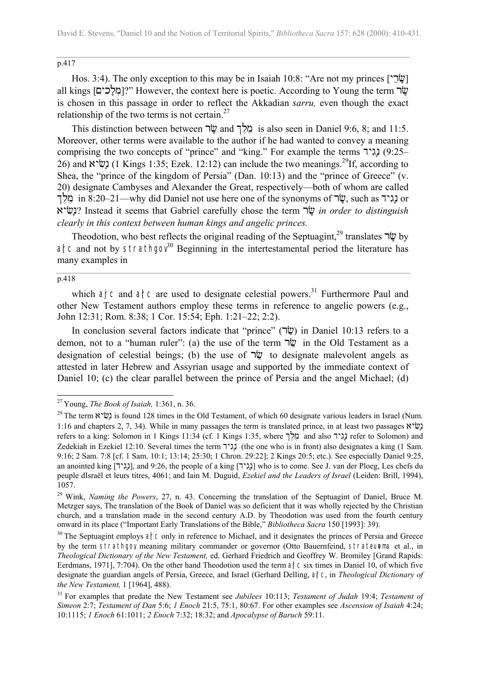### p.417

Hos. 3:4). The only exception to this may be in Isaiah 10:8: "Are not my princes [ $\forall$ all kings [מַלֲכִים]?" However, the context here is poetic. According to Young the term  $\dot{w}$ is chosen in this passage in order to reflect the Akkadian s*arru,* even though the exact relationship of the two terms is not certain. $27$  $27$ 

This distinction between between  $\forall \vec{v}$  and  $\forall \vec{r}$  is also seen in Daniel 9:6, 8; and 11:5. Moreover, other terms were available to the author if he had wanted to convey a meaning comprising the two concepts of "prince" and "king." For example the terms  $(9:25-$ 26) and  $\chi$  (1 Kings 1:35; Ezek. 12:12) can include the two meanings.<sup>29</sup>If, according to Shea, the "prince of the kingdom of Persia" (Dan. 10:13) and the "prince of Greece" (v. 20) designate Cambyses and Alexander the Great, respectively—both of whom are called וֹגְיִד in 8:20–21—why did Daniel not use here one of the synonyms of  $\dot{w}$ , such as נְגִיד or ayc!n\*? Instead it seems that Gabriel carefully chose the term rc\* *in order to distinguish clearly in this context between human kings and angelic princes.*

Theodotion, who best reflects the original reading of the Septuagint,<sup>29</sup> translates  $\psi$  by ance and not by strathgov  $30$  Beginning in the intertestamental period the literature has many examples in

#### $\overline{p.418}$

 $\overline{\phantom{a}}$ 

which arc and arc are used to designate celestial powers.<sup>31</sup> Furthermore Paul and other New Testament authors employ these terms in reference to angelic powers (e.g., John 12:31; Rom. 8:38; 1 Cor. 15:54; Eph. 1:21–22; 2:2).

In conclusion several factors indicate that "prince" ( $\dot{w}$ ) in Daniel 10:13 refers to a demon, not to a "human ruler": (a) the use of the term  $\nabla \ddot{w}$  in the Old Testament as a designation of celestial beings; (b) the use of  $\nabla \psi$  to designate malevolent angels as attested in later Hebrew and Assyrian usage and supported by the immediate context of Daniel 10; (c) the clear parallel between the prince of Persia and the angel Michael; (d)

<span id="page-5-0"></span><sup>27</sup> Young, *The Book of Isaiah,* 1:361, n. 36.

<span id="page-5-1"></span><sup>&</sup>lt;sup>29</sup> The term at two is found 128 times in the Old Testament, of which 60 designate various leaders in Israel (Num. 1:16 and chapters 2, 7, 34). While in many passages the term is translated prince, in at least two passages  $\mathbb{R}^n$ refers to a king: Solomon in 1 Kings 11:34 (cf. 1 Kings 1:35, where  $\frac{1}{2}$ ול and also נגיד refer to Solomon) and Zedekiah in Ezekiel 12:10. Several times the term  $\sum$  (the one who is in front) also designates a king (1 Sam. 9:16; 2 Sam. 7:8 [cf. 1 Sam. 10:1; 13:14; 25:30; 1 Chron. 29:22]; 2 Kings 20:5; etc.). See especially Daniel 9:25, an anointed king [ $\lceil \cdot \rceil$ , and  $9:26$ , the people of a king [ $\lceil \cdot \rceil$ ] who is to come. See J. van der Ploeg, Les chefs du peuple dIsraël et leurs titres, 4061; and Iain M. Duguid, *Ezekiel and the Leaders of Israel* (Leiden: Brill, 1994), 1057.

<span id="page-5-2"></span><sup>&</sup>lt;sup>29</sup> Wink, *Naming the Powers*, 27, n. 43. Concerning the translation of the Septuagint of Daniel, Bruce M. Metzger says, The translation of the Book of Daniel was so deficient that it was wholly rejected by the Christian church, and a translation made in the second century A.D. by Theodotion was used from the fourth century onward in its place ("Important Early Translations of the Bible," *Bibliotheca Sacra* 150 [1993]: 39).

<span id="page-5-3"></span><sup>&</sup>lt;sup>30</sup> The Septuagint employs arc only in reference to Michael, and it designates the princes of Persia and Greece by the term strathgov meaning military commander or governor (Otto Bauernfeind, strateupma et al., in *Theological Dictionary of the New Testament,* ed. Gerhard Friedrich and Geoffrey W. Bromiley [Grand Rapids: Eerdmans, 1971], 7:704). On the other hand Theodotion used the term and c six times in Daniel 10, of which five designate the guardian angels of Persia, Greece, and Israel (Gerhard Delling, a<sub>rc</sub>, in *Theological Dictionary of the New Testament,* 1 [1964], 488).

<span id="page-5-4"></span><sup>31</sup> For examples that predate the New Testament see *Jubilees* 10:113; *Testament of Judah* 19:4; *Testament of Simeon* 2:7; *Testament of Dan* 5:6; *1 Enoch* 21:5, 75:1, 80:67. For other examples see *Ascension of Isaiah* 4:24; 10:1115; *1 Enoch* 61:1011; *2 Enoch* 7:32; 18:32; and *Apocalypse of Baruch* 59:11.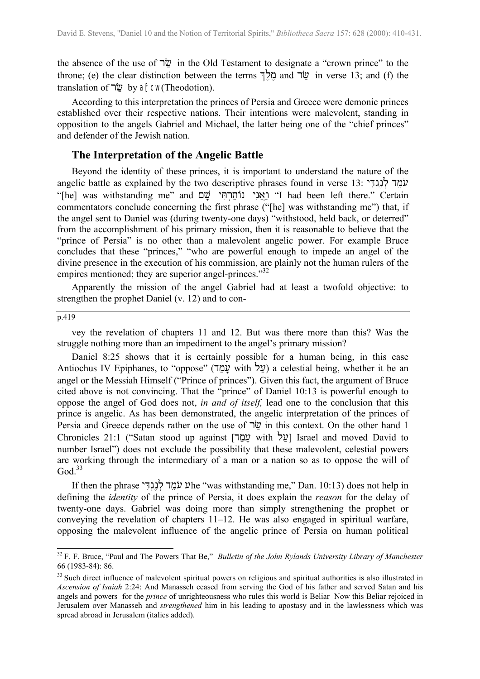the absence of the use of  $\nabla \psi$  in the Old Testament to designate a "crown prince" to the throne; (e) the clear distinction between the terms  $\vec{p}$  and  $\vec{w}$  in verse 13; and (f) the translation of  $\nabla \Psi$  by alrcw(Theodotion).

According to this interpretation the princes of Persia and Greece were demonic princes established over their respective nations. Their intentions were malevolent, standing in opposition to the angels Gabriel and Michael, the latter being one of the "chief princes" and defender of the Jewish nation.

### **The Interpretation of the Angelic Battle**

Beyond the identity of these princes, it is important to understand the nature of the angelic battle as explained by the two descriptive phrases found in verse 13: עֹמַד לֹנְגִדִּי "[he] was withstanding me" and יאני נותרתי שם I had been left there." Certain commentators conclude concerning the first phrase ("[he] was withstanding me") that, if the angel sent to Daniel was (during twenty-one days) "withstood, held back, or deterred" from the accomplishment of his primary mission, then it is reasonable to believe that the "prince of Persia" is no other than a malevolent angelic power. For example Bruce concludes that these "princes," "who are powerful enough to impede an angel of the divine presence in the execution of his commission, are plainly not the human rulers of the empires mentioned; they are superior angel-princes."<sup>[32](#page-6-0)</sup>

Apparently the mission of the angel Gabriel had at least a twofold objective: to strengthen the prophet Daniel (v. 12) and to con-

### p.419

 $\overline{a}$ 

vey the revelation of chapters 11 and 12. But was there more than this? Was the struggle nothing more than an impediment to the angel's primary mission?

Daniel 8:25 shows that it is certainly possible for a human being, in this case Antiochus IV Epiphanes, to "oppose" (על with עמד) a celestial being, whether it be an angel or the Messiah Himself ("Prince of princes"). Given this fact, the argument of Bruce cited above is not convincing. That the "prince" of Daniel 10:13 is powerful enough to oppose the angel of God does not, *in and of itself,* lead one to the conclusion that this prince is angelic. As has been demonstrated, the angelic interpretation of the princes of Persia and Greece depends rather on the use of  $\nabla \ddot{\mathbf{v}}$  in this context. On the other hand 1 Chronicles 21:1 ("Satan stood up against [עֲל with lund moved David to number Israel") does not exclude the possibility that these malevolent, celestial powers are working through the intermediary of a man or a nation so as to oppose the will of  $God.<sup>33</sup>$  $God.<sup>33</sup>$  $God.<sup>33</sup>$ 

If then the phrase yD!g=n#l= dm@u) uhe "was withstanding me," Dan. 10:13) does not help in defining the *identity* of the prince of Persia, it does explain the *reason* for the delay of twenty-one days. Gabriel was doing more than simply strengthening the prophet or conveying the revelation of chapters 11–12. He was also engaged in spiritual warfare, opposing the malevolent influence of the angelic prince of Persia on human political

<span id="page-6-0"></span><sup>32</sup> F. F. Bruce, "Paul and The Powers That Be," *Bulletin of the John Rylands University Library of Manchester* 66 (1983-84): 86.

<span id="page-6-1"></span><sup>&</sup>lt;sup>33</sup> Such direct influence of malevolent spiritual powers on religious and spiritual authorities is also illustrated in *Ascension of Isaiah* 2:24: And Manasseh ceased from serving the God of his father and served Satan and his angels and powers for the *prince* of unrighteousness who rules this world is Beliar Now this Beliar rejoiced in Jerusalem over Manasseh and *strengthened* him in his leading to apostasy and in the lawlessness which was spread abroad in Jerusalem (italics added).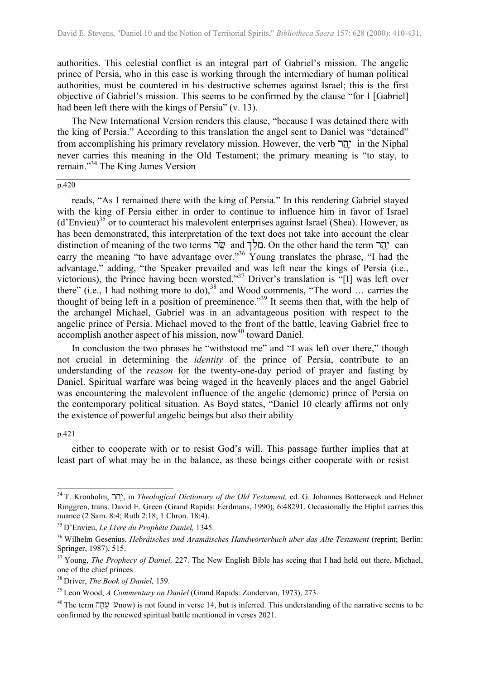authorities. This celestial conflict is an integral part of Gabriel's mission. The angelic prince of Persia, who in this case is working through the intermediary of human political authorities, must be countered in his destructive schemes against Israel; this is the first objective of Gabriel's mission. This seems to be confirmed by the clause "for I [Gabriel] had been left there with the kings of Persia" (v. 13).

The New International Version renders this clause, "because I was detained there with the king of Persia." According to this translation the angel sent to Daniel was "detained" from accomplishing his primary revelatory mission. However, the verb יָהֲר in the Niphal never carries this meaning in the Old Testament; the primary meaning is "to stay, to remain."[34](#page-7-0) The King James Version

### p.420

reads, "As I remained there with the king of Persia." In this rendering Gabriel stayed with the king of Persia either in order to continue to influence him in favor of Israel  $(d'Enview)^{35}$  or to counteract his malevolent enterprises against Israel (Shea). However, as has been demonstrated, this interpretation of the text does not take into account the clear distinction of meaning of the two terms בְּלֵךְ and בְאֵלְךָ On the other hand the term יָהֲר $\cdot$  can carry the meaning "to have advantage over."<sup>36</sup> Young translates the phrase, "I had the advantage," adding, "the Speaker prevailed and was left near the kings of Persia (i.e., victorious), the Prince having been worsted."<sup>37</sup> Driver's translation is "[I] was left over there" (i.e., I had nothing more to do),<sup>38</sup> and Wood comments, "The word ... carries the thought of being left in a position of preeminence."<sup>39</sup> It seems then that, with the help of the archangel Michael, Gabriel was in an advantageous position with respect to the angelic prince of Persia. Michael moved to the front of the battle, leaving Gabriel free to accomplish another aspect of his mission, now<sup>40</sup> toward Daniel.

In conclusion the two phrases he "withstood me" and "I was left over there," though not crucial in determining the *identity* of the prince of Persia, contribute to an understanding of the *reason* for the twenty-one-day period of prayer and fasting by Daniel. Spiritual warfare was being waged in the heavenly places and the angel Gabriel was encountering the malevolent influence of the angelic (demonic) prince of Persia on the contemporary political situation. As Boyd states, "Daniel 10 clearly affirms not only the existence of powerful angelic beings but also their ability

#### p.421

 $\overline{\phantom{a}}$ 

either to cooperate with or to resist God's will. This passage further implies that at least part of what may be in the balance, as these beings either cooperate with or resist

<span id="page-7-0"></span><sup>34</sup> T. Kronholm, rt^y \*, in *Theological Dictionary of the Old Testament,* ed. G. Johannes Botterweck and Helmer Ringgren, trans. David E. Green (Grand Rapids: Eerdmans, 1990), 6:48291. Occasionally the Hiphil carries this nuance (2 Sam. 8:4; Ruth 2:18; 1 Chron. 18:4).

<span id="page-7-1"></span><sup>35</sup> D'Envieu, *Le Livre du Prophète Daniel,* 1345.

<span id="page-7-2"></span><sup>36</sup> Wilhelm Gesenius, *Hebräisches und Aramäisches Handworterbuch uber das Alte Testament* (reprint; Berlin: Springer, 1987), 515.

<span id="page-7-3"></span><sup>&</sup>lt;sup>37</sup> Young, *The Prophecy of Daniel*, 227. The New English Bible has seeing that I had held out there, Michael, one of the chief princes .

<span id="page-7-4"></span><sup>38</sup> Driver, *The Book of Daniel,* 159.

<span id="page-7-5"></span><sup>39</sup> Leon Wood, *A Commentary on Daniel* (Grand Rapids: Zondervan, 1973), 273.

<span id="page-7-6"></span><sup>&</sup>lt;sup>40</sup> The term  $\overline{u}$  unow) is not found in verse 14, but is inferred. This understanding of the narrative seems to be confirmed by the renewed spiritual battle mentioned in verses 2021.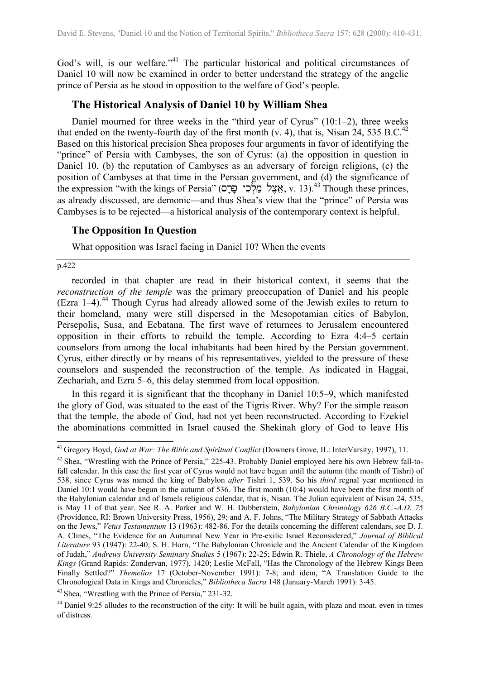God's will, is our welfare."<sup>41</sup> The particular historical and political circumstances of Daniel 10 will now be examined in order to better understand the strategy of the angelic prince of Persia as he stood in opposition to the welfare of God's people.

### **The Historical Analysis of Daniel 10 by William Shea**

Daniel mourned for three weeks in the "third year of Cyrus" (10:1–2), three weeks that ended on the twenty-fourth day of the first month (v. 4), that is, Nisan  $24$  $24$ , 535 B.C.<sup>42</sup> Based on this historical precision Shea proposes four arguments in favor of identifying the "prince" of Persia with Cambyses, the son of Cyrus: (a) the opposition in question in Daniel 10, (b) the reputation of Cambyses as an adversary of foreign religions, (c) the position of Cambyses at that time in the Persian government, and (d) the significance of the expression "with the kings of Persia" (אצל מַלְכוּ פַּרָם, v. 13).<sup>43</sup> Though these princes, as already discussed, are demonic—and thus Shea's view that the "prince" of Persia was Cambyses is to be rejected—a historical analysis of the contemporary context is helpful.

### **The Opposition In Question**

What opposition was Israel facing in Daniel 10? When the events

p.422

 $\overline{\phantom{a}}$ 

recorded in that chapter are read in their historical context, it seems that the *reconstruction of the temple* was the primary preoccupation of Daniel and his people (Ezra  $1-4$ ).<sup>44</sup> Though Cyrus had already allowed some of the Jewish exiles to return to their homeland, many were still dispersed in the Mesopotamian cities of Babylon, Persepolis, Susa, and Ecbatana. The first wave of returnees to Jerusalem encountered opposition in their efforts to rebuild the temple. According to Ezra 4:4–5 certain counselors from among the local inhabitants had been hired by the Persian government. Cyrus, either directly or by means of his representatives, yielded to the pressure of these counselors and suspended the reconstruction of the temple. As indicated in Haggai, Zechariah, and Ezra 5–6, this delay stemmed from local opposition.

In this regard it is significant that the theophany in Daniel 10:5–9, which manifested the glory of God, was situated to the east of the Tigris River. Why? For the simple reason that the temple, the abode of God, had not yet been reconstructed. According to Ezekiel the abominations committed in Israel caused the Shekinah glory of God to leave His

<span id="page-8-0"></span><sup>41</sup> Gregory Boyd, *God at War: The Bible and Spiritual Conflict* (Downers Grove, IL: InterVarsity, 1997), 11.

<span id="page-8-1"></span><sup>&</sup>lt;sup>42</sup> Shea, "Wrestling with the Prince of Persia," 225-43. Probably Daniel employed here his own Hebrew fall-tofall calendar. In this case the first year of Cyrus would not have begun until the autumn (the month of Tishri) of 538, since Cyrus was named the king of Babylon *after* Tishri 1, 539. So his *third* regnal year mentioned in Daniel 10:1 would have begun in the autumn of 536. The first month (10:4) would have been the first month of the Babylonian calendar and of Israels religious calendar, that is, Nisan. The Julian equivalent of Nisan 24, 535, is May 11 of that year. See R. A. Parker and W. H. Dubberstein, *Babylonian Chronology 626 B.C.-A.D. 75* (Providence, RI: Brown University Press, 1956), 29; and A. F. Johns, "The Military Strategy of Sabbath Attacks on the Jews," *Vetus Testamentum* 13 (1963): 482-86. For the details concerning the different calendars, see D. J. A. Clines, "The Evidence for an Autumnal New Year in Pre-exilic Israel Reconsidered," *Journal of Biblical Literature* 93 (1947): 22-40; S. H. Horn, "The Babylonian Chronicle and the Ancient Calendar of the Kingdom of Judah," *Andrews University Seminary Studies* 5 (1967): 22-25; Edwin R. Thiele, *A Chronology of the Hebrew Kings* (Grand Rapids: Zondervan, 1977), 1420; Leslie McFall, "Has the Chronology of the Hebrew Kings Been Finally Settled?" *Themelios* 17 (October-November 1991): 7-8; and idem, "A Translation Guide to the Chronological Data in Kings and Chronicles," *Bibliotheca Sacra* 148 (January-March 1991): 3-45.

<span id="page-8-2"></span><sup>&</sup>lt;sup>43</sup> Shea, "Wrestling with the Prince of Persia," 231-32.

<span id="page-8-3"></span><sup>&</sup>lt;sup>44</sup> Daniel 9:25 alludes to the reconstruction of the city: It will be built again, with plaza and moat, even in times of distress.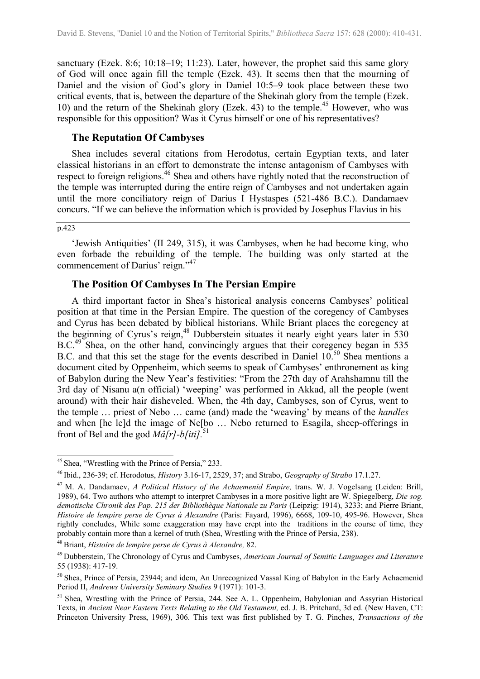<span id="page-9-6"></span>sanctuary (Ezek. 8:6; 10:18–19; 11:23). Later, however, the prophet said this same glory of God will once again fill the temple (Ezek. 43). It seems then that the mourning of Daniel and the vision of God's glory in Daniel 10:5–9 took place between these two critical events, that is, between the departure of the Shekinah glory from the temple (Ezek. 10) and the return of the Shekinah glory (Ezek. 43) to the temple.<sup>45</sup> However, who was responsible for this opposition? Was it Cyrus himself or one of his representatives?

### **The Reputation Of Cambyses**

Shea includes several citations from Herodotus, certain Egyptian texts, and later classical historians in an effort to demonstrate the intense antagonism of Cambyses with respect to foreign religions.<sup>46</sup> Shea and others have rightly noted that the reconstruction of the temple was interrupted during the entire reign of Cambyses and not undertaken again until the more conciliatory reign of Darius I Hystaspes (521-486 B.C.). Dandamaev concurs. "If we can believe the information which is provided by Josephus Flavius in his

#### p.423

 $\overline{a}$ 

'Jewish Antiquities' (II 249, 315), it was Cambyses, when he had become king, who even forbade the rebuilding of the temple. The building was only started at the commencement of Darius' reign."<sup>4[7](#page-9-2)</sup>

### **The Position Of Cambyses In The Persian Empire**

A third important factor in Shea's historical analysis concerns Cambyses' political position at that time in the Persian Empire. The question of the coregency of Cambyses and Cyrus has been debated by biblical historians. While Briant places the coregency at the beginning of Cyrus's reign,<sup>48</sup> Dubberstein situates it nearly eight years later in 530 B.C.<sup>49</sup> Shea, on the other hand, convincingly argues that their coregency began in 535 B.C. and that this set the stage for the events described in Daniel  $10^{50}$  Shea mentions a document cited by Oppenheim, which seems to speak of Cambyses' enthronement as king of Babylon during the New Year's festivities: "From the 27th day of Arahshamnu till the 3rd day of Nisanu a(n official) 'weeping' was performed in Akkad, all the people (went around) with their hair disheveled. When, the 4th day, Cambyses, son of Cyrus, went to the temple … priest of Nebo … came (and) made the 'weaving' by means of the *handles* and when [he le]d the image of Ne[bo … Nebo returned to Esagila, sheep-offerings in front of Bel and the god *Mâ[r]-b[iti].*5[1](#page-9-6)

<span id="page-9-3"></span>48 Briant, *Histoire de lempire perse de Cyrus à Alexandre,* 82.

<span id="page-9-0"></span><sup>&</sup>lt;sup>45</sup> Shea, "Wrestling with the Prince of Persia," 233.

<span id="page-9-1"></span><sup>46</sup> Ibid., 236-39; cf. Herodotus, *History* 3.16-17, 2529, 37; and Strabo, *Geography of Strabo* 17.1.27.

<span id="page-9-2"></span><sup>47</sup> M. A. Dandamaev, *A Political History of the Achaemenid Empire,* trans. W. J. Vogelsang (Leiden: Brill, 1989), 64. Two authors who attempt to interpret Cambyses in a more positive light are W. Spiegelberg, *Die sog. demotische Chronik des Pap. 215 der Bibliothèque Nationale zu Paris* (Leipzig: 1914), 3233; and Pierre Briant, *Histoire de lempire perse de Cyrus à Alexandre* (Paris: Fayard, 1996), 6668, 109-10, 495-96. However, Shea rightly concludes, While some exaggeration may have crept into the traditions in the course of time, they probably contain more than a kernel of truth (Shea, Wrestling with the Prince of Persia, 238).

<span id="page-9-4"></span><sup>49</sup> Dubberstein, The Chronology of Cyrus and Cambyses, *American Journal of Semitic Languages and Literature* 55 (1938): 417-19.

<span id="page-9-5"></span><sup>&</sup>lt;sup>50</sup> Shea, Prince of Persia, 23944; and idem, An Unrecognized Vassal King of Babylon in the Early Achaemenid Period II, *Andrews University Seminary Studies* 9 (1971): 101-3.

<sup>&</sup>lt;sup>51</sup> Shea, Wrestling with the Prince of Persia, 244. See A. L. Oppenheim, Babylonian and Assyrian Historical Texts, in *Ancient Near Eastern Texts Relating to the Old Testament,* ed. J. B. Pritchard, 3d ed. (New Haven, CT: Princeton University Press, 1969), 306. This text was first published by T. G. Pinches, *Transactions of the*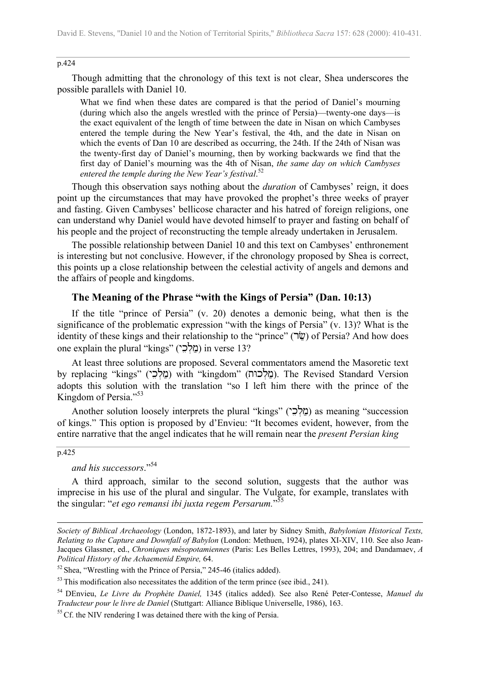#### p.424

Though admitting that the chronology of this text is not clear, Shea underscores the possible parallels with Daniel 10.

What we find when these dates are compared is that the period of Daniel's mourning (during which also the angels wrestled with the prince of Persia)—twenty-one days—is the exact equivalent of the length of time between the date in Nisan on which Cambyses entered the temple during the New Year's festival, the 4th, and the date in Nisan on which the events of Dan 10 are described as occurring, the 24th. If the 24th of Nisan was the twenty-first day of Daniel's mourning, then by working backwards we find that the first day of Daniel's mourning was the 4th of Nisan, *the same day on which Cambyses entered the temple during the New Year's festival*. 5[2](#page-10-0)

Though this observation says nothing about the *duration* of Cambyses' reign, it does point up the circumstances that may have provoked the prophet's three weeks of prayer and fasting. Given Cambyses' bellicose character and his hatred of foreign religions, one can understand why Daniel would have devoted himself to prayer and fasting on behalf of his people and the project of reconstructing the temple already undertaken in Jerusalem.

The possible relationship between Daniel 10 and this text on Cambyses' enthronement is interesting but not conclusive. However, if the chronology proposed by Shea is correct, this points up a close relationship between the celestial activity of angels and demons and the affairs of people and kingdoms.

### **The Meaning of the Phrase "with the Kings of Persia" (Dan. 10:13)**

If the title "prince of Persia" (v. 20) denotes a demonic being, what then is the significance of the problematic expression "with the kings of Persia" (v. 13)? What is the identity of these kings and their relationship to the "prince" ( $\vec{w}$ ) of Persia? And how does one explain the plural "kings" (מלכי) in verse 13?

At least three solutions are proposed. Several commentators amend the Masoretic text by replacing "kings" (מַלְכֵי) with "kingdom" (בַּאֲלָכּה). The Revised Standard Version adopts this solution with the translation "so I left him there with the prince of the Kingdom of Persia."<sup>5[3](#page-10-1)</sup>

Another solution loosely interprets the plural "kings" (מלכי) as meaning "succession of kings." This option is proposed by d'Envieu: "It becomes evident, however, from the entire narrative that the angel indicates that he will remain near the *present Persian king*

#### p.425

 $\overline{\phantom{a}}$ 

*and his successors*."5[4](#page-10-2)

A third approach, similar to the second solution, suggests that the author was imprecise in his use of the plural and singular. The Vulgate, for example, translates with the singular: "*et ego remansi ibi juxta regem Persarum.*" 5[5](#page-10-3)

*Society of Biblical Archaeology* (London, 1872-1893), and later by Sidney Smith, *Babylonian Historical Texts, Relating to the Capture and Downfall of Babylon* (London: Methuen, 1924), plates XI-XIV, 110. See also Jean-Jacques Glassner, ed., *Chroniques mésopotamiennes* (Paris: Les Belles Lettres, 1993), 204; and Dandamaev, *A Political History of the Achaemenid Empire,* 64.

<span id="page-10-0"></span> $52$  Shea, "Wrestling with the Prince of Persia," 245-46 (italics added).

<span id="page-10-1"></span> $53$  This modification also necessitates the addition of the term prince (see ibid., 241).

<span id="page-10-2"></span><sup>54</sup> DEnvieu, *Le Livre du Prophète Daniel,* 1345 (italics added). See also René Peter-Contesse, *Manuel du Traducteur pour le livre de Daniel* (Stuttgart: Alliance Biblique Universelle, 1986), 163.

<span id="page-10-3"></span><sup>&</sup>lt;sup>55</sup> Cf. the NIV rendering I was detained there with the king of Persia.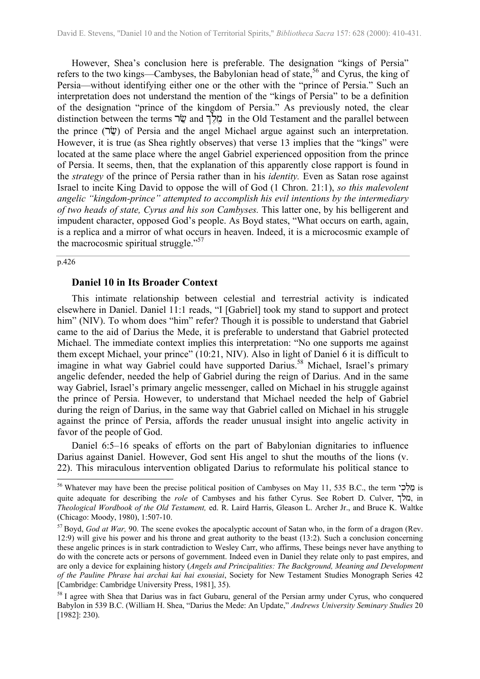However, Shea's conclusion here is preferable. The designation "kings of Persia" refers to the two kings—Cambyses, the Babylonian head of state,<sup>56</sup> and Cyrus, the king of Persia—without identifying either one or the other with the "prince of Persia." Such an interpretation does not understand the mention of the "kings of Persia" to be a definition of the designation "prince of the kingdom of Persia." As previously noted, the clear distinction between the terms  $\psi$  and  $\eta_{\text{N}}^{\dagger}$  in the Old Testament and the parallel between the prince  $(\vec{v})$  of Persia and the angel Michael argue against such an interpretation. However, it is true (as Shea rightly observes) that verse 13 implies that the "kings" were located at the same place where the angel Gabriel experienced opposition from the prince of Persia. It seems, then, that the explanation of this apparently close rapport is found in the *strategy* of the prince of Persia rather than in his *identity.* Even as Satan rose against Israel to incite King David to oppose the will of God (1 Chron. 21:1), *so this malevolent angelic "kingdom-prince" attempted to accomplish his evil intentions by the intermediary of two heads of state, Cyrus and his son Cambyses.* This latter one, by his belligerent and impudent character, opposed God's people. As Boyd states, "What occurs on earth, again, is a replica and a mirror of what occurs in heaven. Indeed, it is a microcosmic example of the macrocosmic spiritual struggle. $157$  $157$ 

### p.426

 $\overline{\phantom{a}}$ 

### **Daniel 10 in Its Broader Context**

This intimate relationship between celestial and terrestrial activity is indicated elsewhere in Daniel. Daniel 11:1 reads, "I [Gabriel] took my stand to support and protect him" (NIV). To whom does "him" refer? Though it is possible to understand that Gabriel came to the aid of Darius the Mede, it is preferable to understand that Gabriel protected Michael. The immediate context implies this interpretation: "No one supports me against them except Michael, your prince" (10:21, NIV). Also in light of Daniel 6 it is difficult to imagine in what way Gabriel could have supported Darius.<sup>58</sup> Michael, Israel's primary angelic defender, needed the help of Gabriel during the reign of Darius. And in the same way Gabriel, Israel's primary angelic messenger, called on Michael in his struggle against the prince of Persia. However, to understand that Michael needed the help of Gabriel during the reign of Darius, in the same way that Gabriel called on Michael in his struggle against the prince of Persia, affords the reader unusual insight into angelic activity in favor of the people of God.

Daniel 6:5–16 speaks of efforts on the part of Babylonian dignitaries to influence Darius against Daniel. However, God sent His angel to shut the mouths of the lions (v. 22). This miraculous intervention obligated Darius to reformulate his political stance to

<span id="page-11-0"></span> $56$  Whatever may have been the precise political position of Cambyses on May 11, 535 B.C., the term  $\frac{1}{2}$  is quite adequate for describing the *role* of Cambyses and his father Cyrus. See Robert D. Culver, מלך, in *Theological Wordbook of the Old Testament,* ed. R. Laird Harris, Gleason L. Archer Jr., and Bruce K. Waltke (Chicago: Moody, 1980), 1:507-10.

<span id="page-11-1"></span><sup>57</sup> Boyd, *God at War,* 90. The scene evokes the apocalyptic account of Satan who, in the form of a dragon (Rev. 12:9) will give his power and his throne and great authority to the beast (13:2). Such a conclusion concerning these angelic princes is in stark contradiction to Wesley Carr, who affirms, These beings never have anything to do with the concrete acts or persons of government. Indeed even in Daniel they relate only to past empires, and are only a device for explaining history (*Angels and Principalities: The Background, Meaning and Development of the Pauline Phrase hai archai kai hai exousiai*, Society for New Testament Studies Monograph Series 42 [Cambridge: Cambridge University Press, 1981], 35).

<span id="page-11-2"></span><sup>&</sup>lt;sup>58</sup> I agree with Shea that Darius was in fact Gubaru, general of the Persian army under Cyrus, who conquered Babylon in 539 B.C. (William H. Shea, "Darius the Mede: An Update," *Andrews University Seminary Studies* 20 [1982]: 230).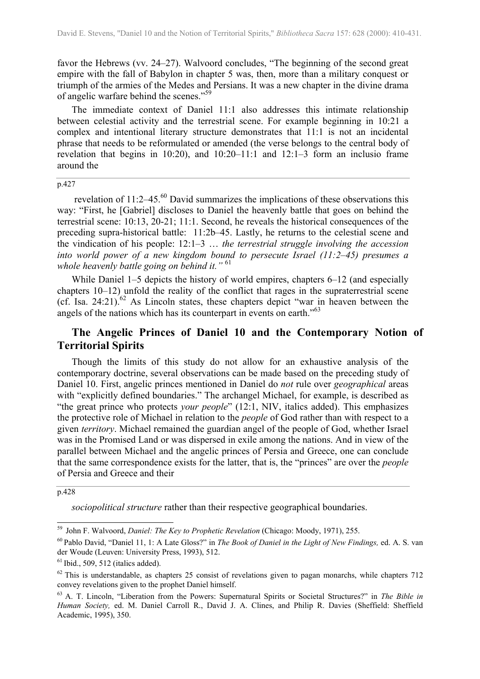favor the Hebrews (vv. 24–27). Walvoord concludes, "The beginning of the second great empire with the fall of Babylon in chapter 5 was, then, more than a military conquest or triumph of the armies of the Medes and Persians. It was a new chapter in the divine drama of angelic warfare behind the scenes."[59](#page-12-0)

The immediate context of Daniel 11:1 also addresses this intimate relationship between celestial activity and the terrestrial scene. For example beginning in 10:21 a complex and intentional literary structure demonstrates that 11:1 is not an incidental phrase that needs to be reformulated or amended (the verse belongs to the central body of revelation that begins in 10:20), and 10:20–11:1 and 12:1–3 form an inclusio frame around the

p.427

 revelation of 11:2–45.[60](#page-12-1) David summarizes the implications of these observations this way: "First, he [Gabriel] discloses to Daniel the heavenly battle that goes on behind the terrestrial scene: 10:13, 20-21; 11:1. Second, he reveals the historical consequences of the preceding supra-historical battle: 11:2b–45. Lastly, he returns to the celestial scene and the vindication of his people: 12:1–3 … *the terrestrial struggle involving the accession into world power of a new kingdom bound to persecute Israel (11:2–45) presumes a whole heavenly battle going on behind it."* 6[1](#page-12-2)

While Daniel 1–5 depicts the history of world empires, chapters 6–12 (and especially chapters 10–12) unfold the reality of the conflict that rages in the supraterrestrial scene (cf. Isa. 24:21).<sup>62</sup> As Lincoln states, these chapters depict "war in heaven between the angels of the nations which has its counterpart in events on earth."6[3](#page-12-4)

## **The Angelic Princes of Daniel 10 and the Contemporary Notion of Territorial Spirits**

Though the limits of this study do not allow for an exhaustive analysis of the contemporary doctrine, several observations can be made based on the preceding study of Daniel 10. First, angelic princes mentioned in Daniel do *not* rule over *geographical* areas with "explicitly defined boundaries." The archangel Michael, for example, is described as "the great prince who protects *your people*" (12:1, NIV, italics added). This emphasizes the protective role of Michael in relation to the *people* of God rather than with respect to a given *territory*. Michael remained the guardian angel of the people of God, whether Israel was in the Promised Land or was dispersed in exile among the nations. And in view of the parallel between Michael and the angelic princes of Persia and Greece, one can conclude that the same correspondence exists for the latter, that is, the "princes" are over the *people* of Persia and Greece and their

p.428

 $\overline{\phantom{a}}$ 

*sociopolitical structure* rather than their respective geographical boundaries.

<span id="page-12-0"></span><sup>59</sup> John F. Walvoord, *Daniel: The Key to Prophetic Revelation* (Chicago: Moody, 1971), 255.

<span id="page-12-1"></span><sup>60</sup> Pablo David, "Daniel 11, 1: A Late Gloss?" in *The Book of Daniel in the Light of New Findings,* ed. A. S. van der Woude (Leuven: University Press, 1993), 512.

<span id="page-12-2"></span> $<sup>61</sup>$  Ibid., 509, 512 (italics added).</sup>

<span id="page-12-3"></span> $62$  This is understandable, as chapters 25 consist of revelations given to pagan monarchs, while chapters 712 convey revelations given to the prophet Daniel himself.

<span id="page-12-4"></span><sup>63</sup> A. T. Lincoln, "Liberation from the Powers: Supernatural Spirits or Societal Structures?" in *The Bible in Human Society,* ed. M. Daniel Carroll R., David J. A. Clines, and Philip R. Davies (Sheffield: Sheffield Academic, 1995), 350.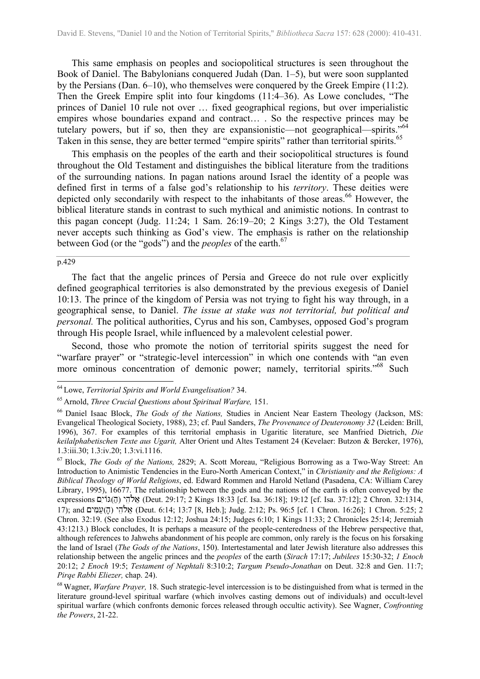This same emphasis on peoples and sociopolitical structures is seen throughout the Book of Daniel. The Babylonians conquered Judah (Dan. 1–5), but were soon supplanted by the Persians (Dan. 6–10), who themselves were conquered by the Greek Empire (11:2). Then the Greek Empire split into four kingdoms (11:4–36). As Lowe concludes, "The princes of Daniel 10 rule not over … fixed geographical regions, but over imperialistic empires whose boundaries expand and contract… . So the respective princes may be tutelary powers, but if so, then they are expansionistic—not geographical—spirits."6[4](#page-13-0) Taken in this sense, they are better termed "empire spirits" rather than territorial spirits.<sup>6[5](#page-13-1)</sup>

This emphasis on the peoples of the earth and their sociopolitical structures is found throughout the Old Testament and distinguishes the biblical literature from the traditions of the surrounding nations. In pagan nations around Israel the identity of a people was defined first in terms of a false god's relationship to his *territory*. These deities were depicted only secondarily with respect to the inhabitants of those areas.<sup>66</sup> However, the biblical literature stands in contrast to such mythical and animistic notions. In contrast to this pagan concept (Judg. 11:24; 1 Sam. 26:19–20; 2 Kings 3:27), the Old Testament never accepts such thinking as God's view. The emphasis is rather on the relationship between God (or the "gods") and the *peoples* of the earth.<sup>6[7](#page-13-3)</sup>

### p.429

 $\overline{\phantom{a}}$ 

The fact that the angelic princes of Persia and Greece do not rule over explicitly defined geographical territories is also demonstrated by the previous exegesis of Daniel 10:13. The prince of the kingdom of Persia was not trying to fight his way through, in a geographical sense, to Daniel. *The issue at stake was not territorial, but political and personal.* The political authorities, Cyrus and his son, Cambyses, opposed God's program through His people Israel, while influenced by a malevolent celestial power.

Second, those who promote the notion of territorial spirits suggest the need for "warfare prayer" or "strategic-level intercession" in which one contends with "an even more ominous concentration of demonic power; namely, territorial spirits."<sup>68</sup> Such

<span id="page-13-0"></span><sup>64</sup> Lowe, *Territorial Spirits and World Evangelisation?* 34.

<span id="page-13-1"></span><sup>65</sup> Arnold, *Three Crucial Questions about Spiritual Warfare,* 151.

<span id="page-13-2"></span><sup>66</sup> Daniel Isaac Block, *The Gods of the Nations,* Studies in Ancient Near Eastern Theology (Jackson, MS: Evangelical Theological Society, 1988), 23; cf. Paul Sanders, *The Provenance of Deuteronomy 32* (Leiden: Brill, 1996), 367. For examples of this territorial emphasis in Ugaritic literature, see Manfried Dietrich, *Die keilalphabetischen Texte aus Ugarit,* Alter Orient und Altes Testament 24 (Kevelaer: Butzon & Bercker, 1976), 1.3:iii.30; 1.3:iv.20; 1.3:vi.1116.

<span id="page-13-3"></span><sup>67</sup> Block, *The Gods of the Nations,* 2829; A. Scott Moreau, "Religious Borrowing as a Two-Way Street: An Introduction to Animistic Tendencies in the Euro-North American Context," in *Christianity and the Religions: A Biblical Theology of World Religions*, ed. Edward Rommen and Harold Netland (Pasadena, CA: William Carey Library, 1995), 16677. The relationship between the gods and the nations of the earth is often conveyed by the expressions אלהי (ה) אלהי (Deut. 29:17; 2 Kings 18:33 [cf. Isa. 36:18]; 19:12 [cf. Isa. 37:12]; 2 Chron. 32:1314, 17); and אלהי $($ הו $(6.14; 13.7 \text{ [8, Heb.}]; \text{Judg. } 2.12; \text{Ps. } 96.5 \text{ [cf. 1 Chron. } 16.26];$  1 Chron. 5:25; 2 Chron. 32:19. (See also Exodus 12:12; Joshua 24:15; Judges 6:10; 1 Kings 11:33; 2 Chronicles 25:14; Jeremiah 43:1213.) Block concludes, It is perhaps a measure of the people-centeredness of the Hebrew perspective that, although references to Jahwehs abandonment of his people are common, only rarely is the focus on his forsaking the land of Israel (*The Gods of the Nations*, 150). Intertestamental and later Jewish literature also addresses this relationship between the angelic princes and the *peoples* of the earth (*Sirach* 17:17; *Jubilees* 15:30-32; *1 Enoch* 20:12; *2 Enoch* 19:5; *Testament of Nephtali* 8:310:2; *Targum Pseudo-Jonathan* on Deut. 32:8 and Gen. 11:7; *Pirqe Rabbi Eliezer,* chap. 24).

<span id="page-13-4"></span><sup>68</sup> Wagner, *Warfare Prayer,* 18. Such strategic-level intercession is to be distinguished from what is termed in the literature ground-level spiritual warfare (which involves casting demons out of individuals) and occult-level spiritual warfare (which confronts demonic forces released through occultic activity). See Wagner, *Confronting the Powers*, 21-22.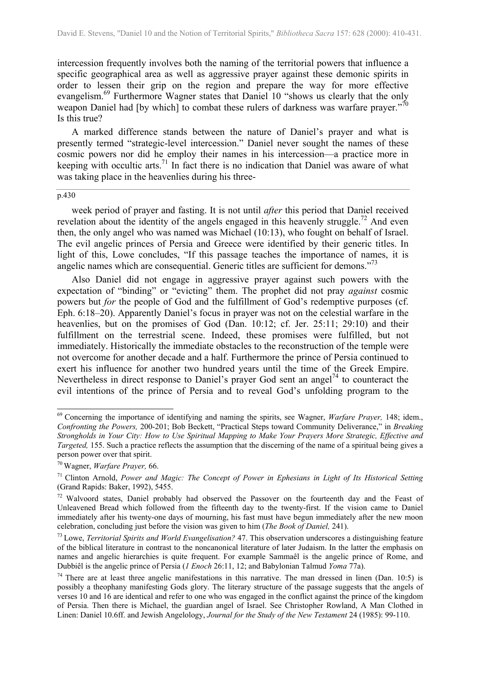intercession frequently involves both the naming of the territorial powers that influence a specific geographical area as well as aggressive prayer against these demonic spirits in order to lessen their grip on the region and prepare the way for more effective evangelism.<sup>69</sup> Furthermore Wagner states that Daniel 10 "shows us clearly that the only weapon Daniel had [by which] to combat these rulers of darkness was warfare prayer."<sup>7[0](#page-14-1)</sup> Is this true?

A marked difference stands between the nature of Daniel's prayer and what is presently termed "strategic-level intercession." Daniel never sought the names of these cosmic powers nor did he employ their names in his intercession—a practice more in keeping with occultic arts.<sup>71</sup> In fact there is no indication that Daniel was aware of what was taking place in the heavenlies during his three-

#### p.430

 $\overline{\phantom{a}}$ 

week period of prayer and fasting. It is not until *after* this period that Daniel received revelation about the identity of the angels engaged in this heavenly struggle.<sup>72</sup> And even then, the only angel who was named was Michael (10:13), who fought on behalf of Israel. The evil angelic princes of Persia and Greece were identified by their generic titles. In light of this, Lowe concludes, "If this passage teaches the importance of names, it is angelic names which are consequential. Generic titles are sufficient for demons."<sup>[73](#page-14-4)</sup>

Also Daniel did not engage in aggressive prayer against such powers with the expectation of "binding" or "evicting" them. The prophet did not pray *against* cosmic powers but *for* the people of God and the fulfillment of God's redemptive purposes (cf. Eph. 6:18–20). Apparently Daniel's focus in prayer was not on the celestial warfare in the heavenlies, but on the promises of God (Dan. 10:12; cf. Jer. 25:11; 29:10) and their fulfillment on the terrestrial scene. Indeed, these promises were fulfilled, but not immediately. Historically the immediate obstacles to the reconstruction of the temple were not overcome for another decade and a half. Furthermore the prince of Persia continued to exert his influence for another two hundred years until the time of the Greek Empire. Nevertheless in direct response to Daniel's prayer God sent an angel<sup>74</sup> to counteract the evil intentions of the prince of Persia and to reveal God's unfolding program to the

<span id="page-14-0"></span><sup>69</sup> Concerning the importance of identifying and naming the spirits, see Wagner, *Warfare Prayer,* 148; idem., *Confronting the Powers,* 200-201; Bob Beckett, "Practical Steps toward Community Deliverance," in *Breaking Strongholds in Your City: How to Use Spiritual Mapping to Make Your Prayers More Strategic, Effective and Targeted,* 155. Such a practice reflects the assumption that the discerning of the name of a spiritual being gives a person power over that spirit.

<span id="page-14-1"></span><sup>70</sup> Wagner, *Warfare Prayer,* 66.

<span id="page-14-2"></span><sup>71</sup> Clinton Arnold, *Power and Magic: The Concept of Power in Ephesians in Light of Its Historical Setting* (Grand Rapids: Baker, 1992), 5455.

<span id="page-14-3"></span><sup>&</sup>lt;sup>72</sup> Walvoord states. Daniel probably had observed the Passover on the fourteenth day and the Feast of Unleavened Bread which followed from the fifteenth day to the twenty-first. If the vision came to Daniel immediately after his twenty-one days of mourning, his fast must have begun immediately after the new moon celebration, concluding just before the vision was given to him (*The Book of Daniel,* 241).

<span id="page-14-4"></span><sup>73</sup> Lowe, *Territorial Spirits and World Evangelisation?* 47. This observation underscores a distinguishing feature of the biblical literature in contrast to the noncanonical literature of later Judaism. In the latter the emphasis on names and angelic hierarchies is quite frequent. For example Sammaêl is the angelic prince of Rome, and Dubbiêl is the angelic prince of Persia (*1 Enoch* 26:11, 12; and Babylonian Talmud *Yoma* 77a).

<span id="page-14-5"></span><sup>&</sup>lt;sup>74</sup> There are at least three angelic manifestations in this narrative. The man dressed in linen (Dan. 10:5) is possibly a theophany manifesting Gods glory. The literary structure of the passage suggests that the angels of verses 10 and 16 are identical and refer to one who was engaged in the conflict against the prince of the kingdom of Persia. Then there is Michael, the guardian angel of Israel. See Christopher Rowland, A Man Clothed in Linen: Daniel 10.6ff. and Jewish Angelology, *Journal for the Study of the New Testament* 24 (1985): 99-110.